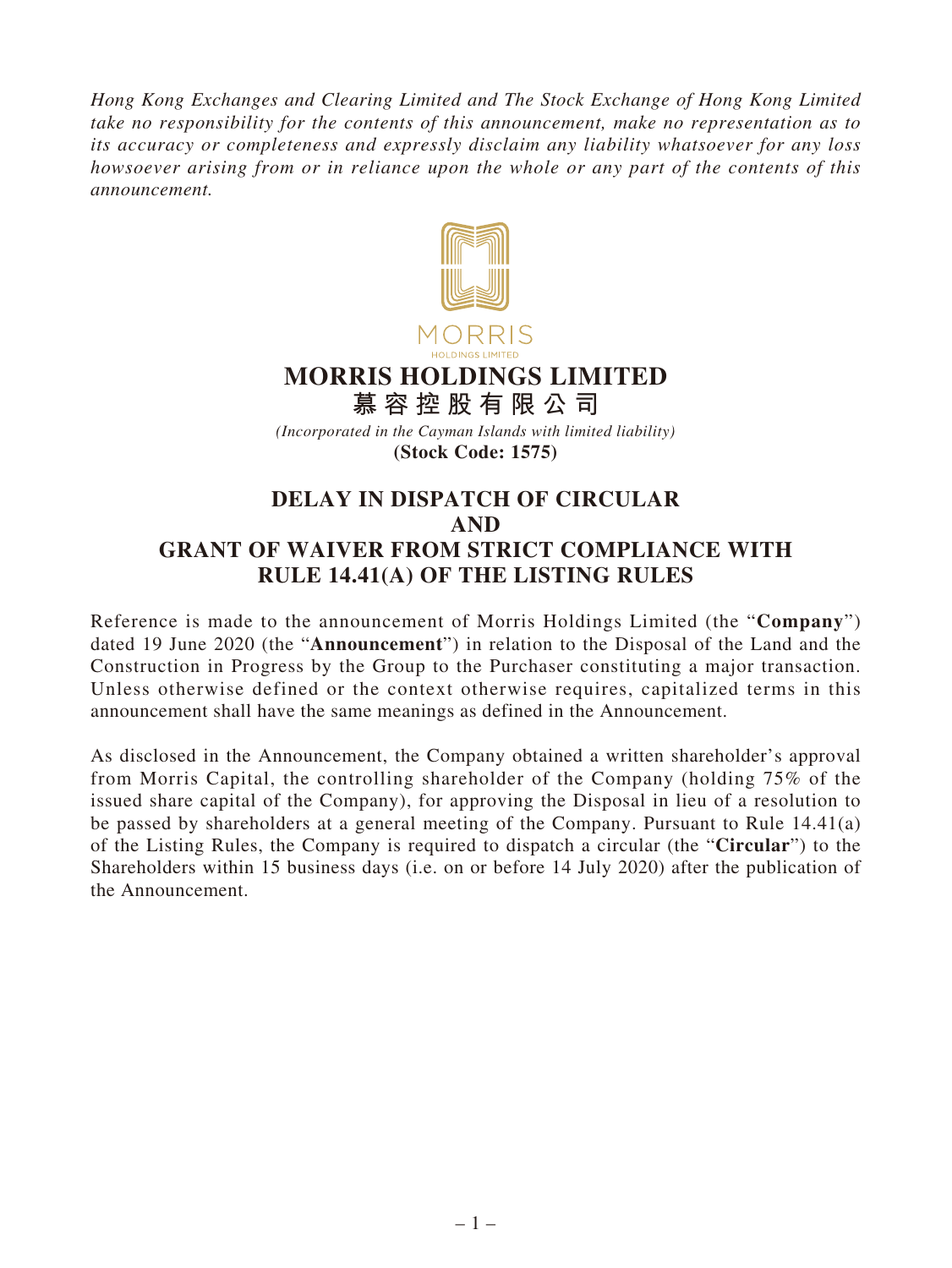*Hong Kong Exchanges and Clearing Limited and The Stock Exchange of Hong Kong Limited take no responsibility for the contents of this announcement, make no representation as to its accuracy or completeness and expressly disclaim any liability whatsoever for any loss howsoever arising from or in reliance upon the whole or any part of the contents of this announcement.*



## **MORRIS HOLDINGS LIMITED**

**慕容控股有限公司** *(Incorporated in the Cayman Islands with limited liability)* **(Stock Code: 1575)**

## **DELAY IN DISPATCH OF CIRCULAR AND GRANT OF WAIVER FROM STRICT COMPLIANCE WITH RULE 14.41(A) OF THE LISTING RULES**

Reference is made to the announcement of Morris Holdings Limited (the "**Company**") dated 19 June 2020 (the "**Announcement**") in relation to the Disposal of the Land and the Construction in Progress by the Group to the Purchaser constituting a major transaction. Unless otherwise defined or the context otherwise requires, capitalized terms in this announcement shall have the same meanings as defined in the Announcement.

As disclosed in the Announcement, the Company obtained a written shareholder's approval from Morris Capital, the controlling shareholder of the Company (holding 75% of the issued share capital of the Company), for approving the Disposal in lieu of a resolution to be passed by shareholders at a general meeting of the Company. Pursuant to Rule 14.41(a) of the Listing Rules, the Company is required to dispatch a circular (the "**Circular**") to the Shareholders within 15 business days (i.e. on or before 14 July 2020) after the publication of the Announcement.